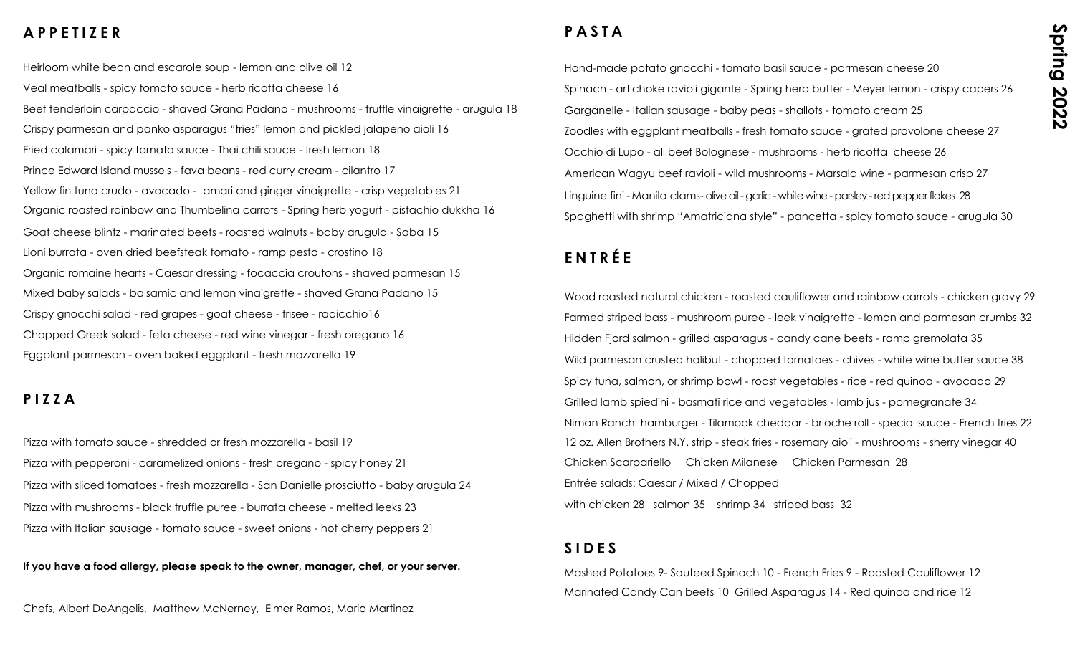#### **A P P E T I Z E R**

Heirloom white bean and escarole soup - lemon and olive oil 12 Veal meatballs - spicy tomato sauce - herb ricotta cheese 16 Beef tenderloin carpaccio - shaved Grana Padano - mushrooms - truffle vinaigrette - arugula 18 Crispy parmesan and panko asparagus "fries" lemon and pickled jalapeno aioli 16 Fried calamari - spicy tomato sauce - Thai chili sauce - fresh lemon 18 Prince Edward Island mussels - fava beans - red curry cream - cilantro 17 Yellow fin tuna crudo - avocado - tamari and ginger vinaigrette - crisp vegetables 21 Organic roasted rainbow and Thumbelina carrots - Spring herb yogurt - pistachio dukkha 16 Goat cheese blintz - marinated beets - roasted walnuts - baby arugula - Saba 15 Lioni burrata - oven dried beefsteak tomato - ramp pesto - crostino 18 Organic romaine hearts - Caesar dressing - focaccia croutons - shaved parmesan 15 Mixed baby salads - balsamic and lemon vinaigrette - shaved Grana Padano 15 Crispy gnocchi salad - red grapes - goat cheese - frisee - radicchio16 Chopped Greek salad - feta cheese - red wine vinegar - fresh oregano 16 Eggplant parmesan - oven baked eggplant - fresh mozzarella 19

#### **P I Z Z A**

Pizza with tomato sauce - shredded or fresh mozzarella - basil 19 Pizza with pepperoni - caramelized onions - fresh oregano - spicy honey 21 Pizza with sliced tomatoes - fresh mozzarella - San Danielle prosciutto - baby arugula 24 Pizza with mushrooms - black truffle puree - burrata cheese - melted leeks 23 Pizza with Italian sausage - tomato sauce - sweet onions - hot cherry peppers 21

**If you have a food allergy, please speak to the owner, manager, chef, or your server.**

### **P A S T A**

Hand-made potato gnocchi - tomato basil sauce - parmesan cheese 20 Spinach - artichoke ravioli gigante - Spring herb butter - Meyer lemon - crispy capers 26 Garganelle - Italian sausage - baby peas - shallots - tomato cream 25 Zoodles with eggplant meatballs - fresh tomato sauce - grated provolone cheese 27 Occhio di Lupo - all beef Bolognese - mushrooms - herb ricotta cheese 26 American Wagyu beef ravioli - wild mushrooms - Marsala wine - parmesan crisp 27 Linguine fini - Manila clams-olive oil -garlic - white wine -parsley -red pepper flakes 28 Spaghetti with shrimp "Amatriciana style" - pancetta - spicy tomato sauce - arugula 30

## **E N T R É E**

Wood roasted natural chicken - roasted cauliflower and rainbow carrots - chicken gravy 29 Farmed striped bass - mushroom puree - leek vinaigrette - lemon and parmesan crumbs 32 Hidden Fjord salmon - grilled asparagus - candy cane beets - ramp gremolata 35 Wild parmesan crusted halibut - chopped tomatoes - chives - white wine butter sauce 38 Spicy tuna, salmon, or shrimp bowl - roast vegetables - rice - red quinoa - avocado 29 Grilled lamb spiedini - basmati rice and vegetables - lamb jus - pomegranate 34 Niman Ranch hamburger - Tilamook cheddar - brioche roll - special sauce - French fries 22 12 oz. Allen Brothers N.Y. strip - steak fries - rosemary aioli - mushrooms - sherry vinegar 40 Chicken Scarpariello Chicken Milanese Chicken Parmesan 28 Entrée salads: Caesar / Mixed / Chopped with chicken 28 salmon 35 shrimp 34 striped bass 32

### **S I D E S**

Mashed Potatoes 9- Sauteed Spinach 10 - French Fries 9 - Roasted Cauliflower 12 Marinated Candy Can beets 10 Grilled Asparagus 14 - Red quinoa and rice 12